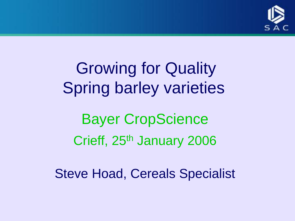

Growing for Quality Spring barley varieties Bayer CropScience Crieff, 25<sup>th</sup> January 2006

Steve Hoad, Cereals Specialist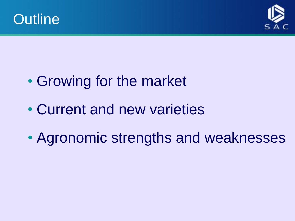



- Growing for the market
- Current and new varieties
- Agronomic strengths and weaknesses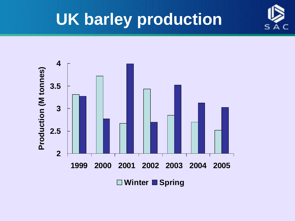

### **UK barley production**

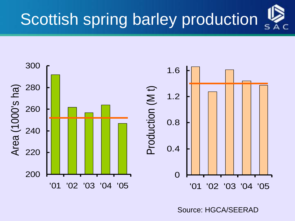



Source: HGCA/SEERAD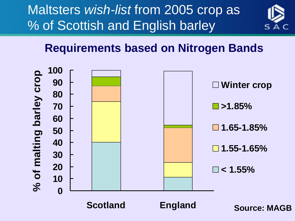Maltsters *wish-list* from 2005 crop as % of Scottish and English barley



#### **Requirements based on Nitrogen Bands**



**Scotland England**

**Source: MAGB**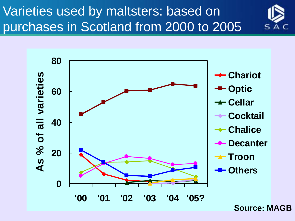#### Varieties used by maltsters: based on purchases in Scotland from 2000 to 2005





**Source: MAGB**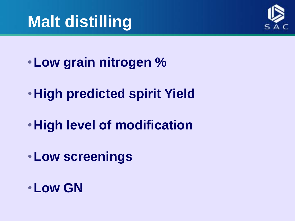## **Malt distilling**



- •**Low grain nitrogen %**
- •**High predicted spirit Yield**
- •**High level of modification**
- •**Low screenings**
- •**Low GN**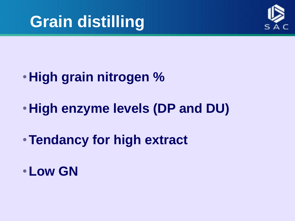



- •**High grain nitrogen %**
- •**High enzyme levels (DP and DU)**
- •**Tendancy for high extract**
- •**Low GN**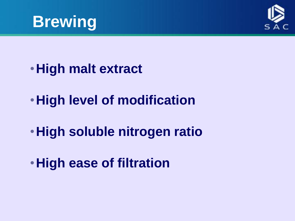



- •**High malt extract**
- •**High level of modification**
- •**High soluble nitrogen ratio**
- •**High ease of filtration**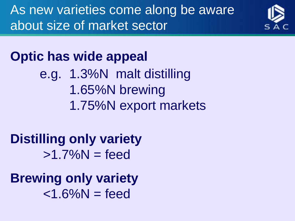As new varieties come along be aware about size of market sector



#### **Optic has wide appeal**

- e.g. 1.3%N malt distilling 1.65%N brewing
	- 1.75%N export markets

#### **Distilling only variety**  $>1.7\%$ N = feed

**Brewing only variety**  $<$ 1.6% $N =$ feed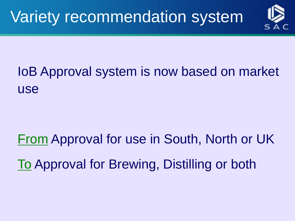

#### IoB Approval system is now based on market use

## From Approval for use in South, North or UK To Approval for Brewing, Distilling or both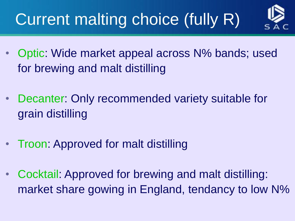## Current malting choice (fully R)



- Optic: Wide market appeal across N% bands; used for brewing and malt distilling
- Decanter: Only recommended variety suitable for grain distilling
- Troon: Approved for malt distilling
- Cocktail: Approved for brewing and malt distilling: market share gowing in England, tendancy to low N%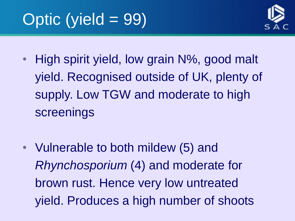

- High spirit yield, low grain N%, good malt yield. Recognised outside of UK, plenty of supply. Low TGW and moderate to high screenings
- Vulnerable to both mildew (5) and *Rhynchosporium* (4) and moderate for brown rust. Hence very low untreated yield. Produces a high number of shoots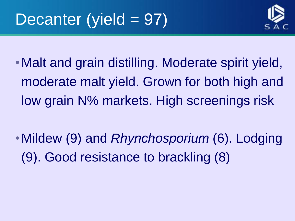

- Malt and grain distilling. Moderate spirit yield, moderate malt yield. Grown for both high and low grain N% markets. High screenings risk
- •Mildew (9) and *Rhynchosporium* (6). Lodging (9). Good resistance to brackling (8)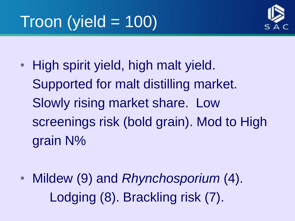

• High spirit yield, high malt yield. Supported for malt distilling market. Slowly rising market share. Low screenings risk (bold grain). Mod to High grain N%

• Mildew (9) and *Rhynchosporium* (4). Lodging (8). Brackling risk (7).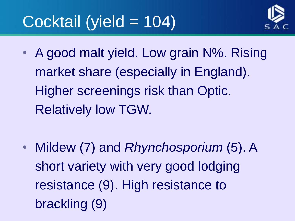## Cocktail (yield = 104)



• A good malt yield. Low grain N%. Rising market share (especially in England). Higher screenings risk than Optic. Relatively low TGW.

• Mildew (7) and *Rhynchosporium* (5). A short variety with very good lodging resistance (9). High resistance to brackling (9)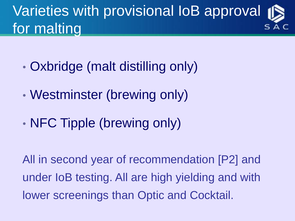### Varieties with provisional IoB approval for malting

- Oxbridge (malt distilling only)
- Westminster (brewing only)
- NFC Tipple (brewing only)

All in second year of recommendation [P2] and under IoB testing. All are high yielding and with lower screenings than Optic and Cocktail.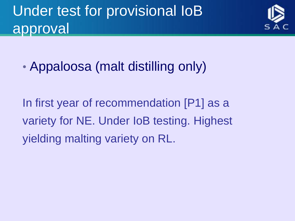### Under test for provisional IoB approval



• Appaloosa (malt distilling only)

In first year of recommendation [P1] as a variety for NE. Under IoB testing. Highest yielding malting variety on RL.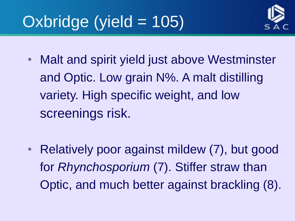## Oxbridge (yield = 105)



- Malt and spirit yield just above Westminster and Optic. Low grain N%. A malt distilling variety. High specific weight, and low screenings risk.
- Relatively poor against mildew (7), but good for *Rhynchosporium* (7). Stiffer straw than Optic, and much better against brackling (8).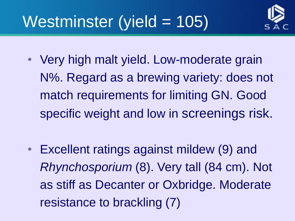

## Westminster (yield = 105)

- Very high malt yield. Low-moderate grain N%. Regard as a brewing variety: does not match requirements for limiting GN. Good specific weight and low in screenings risk.
- Excellent ratings against mildew (9) and *Rhynchosporium* (8). Very tall (84 cm). Not as stiff as Decanter or Oxbridge. Moderate resistance to brackling (7)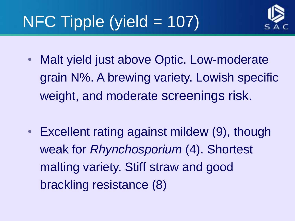## NFC Tipple (yield = 107)



- Malt yield just above Optic. Low-moderate grain N%. A brewing variety. Lowish specific weight, and moderate screenings risk.
- Excellent rating against mildew (9), though weak for *Rhynchosporium* (4). Shortest malting variety. Stiff straw and good brackling resistance (8)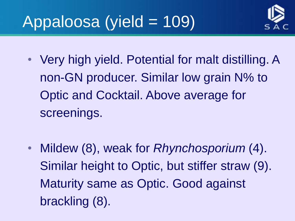## Appaloosa (yield = 109)



- Very high yield. Potential for malt distilling. A non-GN producer. Similar low grain N% to Optic and Cocktail. Above average for screenings.
- Mildew (8), weak for *Rhynchosporium* (4). Similar height to Optic, but stiffer straw (9). Maturity same as Optic. Good against brackling (8).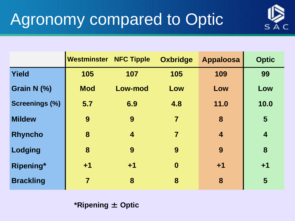

|                       | <b>Westminster NFC Tipple</b> |                         | <b>Oxbridge</b>  | <b>Appaloosa</b> | <b>Optic</b>            |
|-----------------------|-------------------------------|-------------------------|------------------|------------------|-------------------------|
| <b>Yield</b>          | 105                           | 107                     | 105              | 109              | 99                      |
| Grain N (%)           | <b>Mod</b>                    | Low-mod                 | Low              | Low              | Low                     |
| <b>Screenings (%)</b> | 5.7                           | 6.9                     | 4.8              | 11.0             | 10.0                    |
| <b>Mildew</b>         | 9                             | 9                       | $\overline{7}$   | 8                | 5                       |
| <b>Rhyncho</b>        | 8                             | $\overline{\mathbf{4}}$ | $\overline{7}$   | $\overline{4}$   | $\overline{\mathbf{4}}$ |
| Lodging               | 8                             | 9                       | 9                | 9                | 8                       |
| Ripening*             | $+1$                          | $+1$                    | $\boldsymbol{0}$ | $+1$             | $+1$                    |
| <b>Brackling</b>      | $\overline{7}$                | 8                       | 8                | 8                | 5                       |

**\*Ripening** ± **Optic**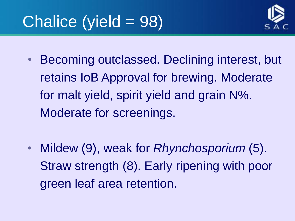## Chalice (yield = 98)



- Becoming outclassed. Declining interest, but retains IoB Approval for brewing. Moderate for malt yield, spirit yield and grain N%. Moderate for screenings.
- Mildew (9), weak for *Rhynchosporium* (5). Straw strength (8). Early ripening with poor green leaf area retention.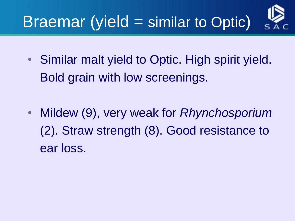# Braemar (yield = similar to Optic)

- Similar malt yield to Optic. High spirit yield. Bold grain with low screenings.
- Mildew (9), very weak for *Rhynchosporium* (2). Straw strength (8). Good resistance to ear loss.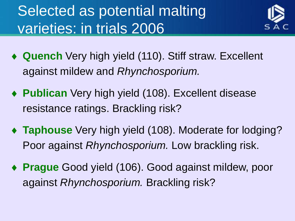### Selected as potential malting varieties: in trials 2006



- **Quench** Very high yield (110). Stiff straw. Excellent against mildew and *Rhynchosporium.*
- **Publican** Very high yield (108). Excellent disease resistance ratings. Brackling risk?
- ◆ **Taphouse** Very high yield (108). Moderate for lodging? Poor against *Rhynchosporium.* Low brackling risk.
- ◆ **Prague** Good yield (106). Good against mildew, poor against *Rhynchosporium.* Brackling risk?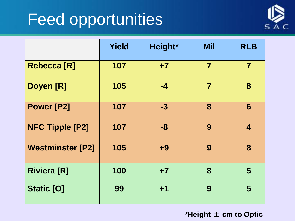### Feed opportunities



|                         | <b>Yield</b> | Height* | <b>Mil</b>     | <b>RLB</b>              |
|-------------------------|--------------|---------|----------------|-------------------------|
| <b>Rebecca [R]</b>      | 107          | $+7$    | $\overline{7}$ | $\overline{\mathbf{7}}$ |
| Doyen [R]               | 105          | -4      | 7              | 8                       |
| <b>Power [P2]</b>       | 107          | $-3$    | 8              | $6\phantom{1}$          |
| <b>NFC Tipple [P2]</b>  | 107          | -8      | 9              | $\overline{\mathbf{4}}$ |
| <b>Westminster [P2]</b> | 105          | $+9$    | 9              | 8                       |
| <b>Riviera [R]</b>      | 100          | $+7$    | 8              | 5                       |
| <b>Static [O]</b>       | 99           | $+1$    | 9              | 5                       |

**\*Height** ± **cm to Optic**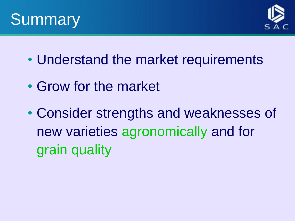



- Understand the market requirements
- Grow for the market
- Consider strengths and weaknesses of new varieties agronomically and for grain quality